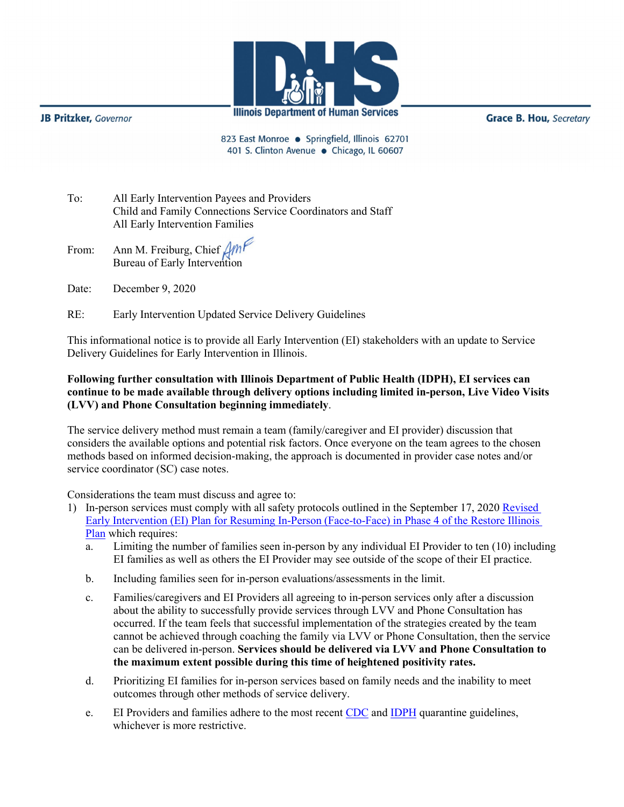

**JB Pritzker**, Governor

**Grace B. Hou, Secretary** 

823 East Monroe · Springfield, Illinois 62701 401 S. Clinton Avenue · Chicago, IL 60607

- To: All Early Intervention Payees and Providers Child and Family Connections Service Coordinators and Staff All Early Intervention Families
- From: Ann M. Freiburg, Chief Bureau of Early Intervention
- Date: December 9, 2020
- RE: Early Intervention Updated Service Delivery Guidelines

This informational notice is to provide all Early Intervention (EI) stakeholders with an update to Service Delivery Guidelines for Early Intervention in Illinois.

## **Following further consultation with Illinois Department of Public Health (IDPH), EI services can continue to be made available through delivery options including limited in-person, Live Video Visits (LVV) and Phone Consultation beginning immediately**.

The service delivery method must remain a team (family/caregiver and EI provider) discussion that considers the available options and potential risk factors. Once everyone on the team agrees to the chosen methods based on informed decision-making, the approach is documented in provider case notes and/or service coordinator (SC) case notes.

Considerations the team must discuss and agree to:

- 1) In-person services must comply with all safety protocols outlined in the September 17, 2020 [Revised](http://www.wiu.edu/coehs/provider_connections/pdf/20200917%20Revised%20EI%20Plan%20for%20Resuming%20In-Person%20Services-%20Final.pdf)  [Early Intervention \(EI\) Plan for Resuming In-Person \(Face-to-Face\) in Phase 4 of the Restore Illinois](http://www.wiu.edu/coehs/provider_connections/pdf/20200917%20Revised%20EI%20Plan%20for%20Resuming%20In-Person%20Services-%20Final.pdf)  [Plan](http://www.wiu.edu/coehs/provider_connections/pdf/20200917%20Revised%20EI%20Plan%20for%20Resuming%20In-Person%20Services-%20Final.pdf) which requires:
	- a. Limiting the number of families seen in-person by any individual EI Provider to ten (10) including EI families as well as others the EI Provider may see outside of the scope of their EI practice.
	- b. Including families seen for in-person evaluations/assessments in the limit.
	- c. Families/caregivers and EI Providers all agreeing to in-person services only after a discussion about the ability to successfully provide services through LVV and Phone Consultation has occurred. If the team feels that successful implementation of the strategies created by the team cannot be achieved through coaching the family via LVV or Phone Consultation, then the service can be delivered in-person. **Services should be delivered via LVV and Phone Consultation to the maximum extent possible during this time of heightened positivity rates.**
	- d. Prioritizing EI families for in-person services based on family needs and the inability to meet outcomes through other methods of service delivery.
	- e. EI Providers and families adhere to the most recent [CDC](https://www.cdc.gov/coronavirus/2019-ncov/hcp/disposition-in-home-patients.html) and [IDPH](http://www.dph.illinois.gov/topics-services/diseases-and-conditions/diseases-a-z-list/coronavirus) quarantine guidelines, whichever is more restrictive.